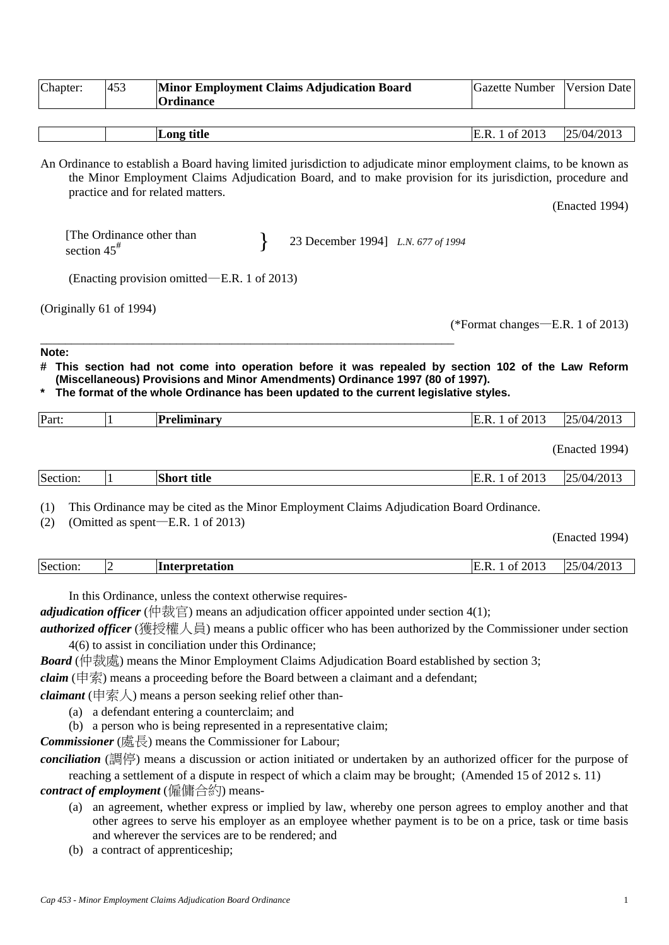| 453                     | <b>Minor Employment Claims Adjudication Board</b><br><b>Ordinance</b> | <b>Gazette Number</b>                                                                                                                                                                                                                                                                                                                                                                                                                                                                                                                             | <b>Version Date</b>                                                                                                                                                                                                                                                                                                                                                                                                                                                                                                                                                                                                                                                                                                                                                                                                                                                                                                                                                                                                                                                                                                                                                                                                                 |
|-------------------------|-----------------------------------------------------------------------|---------------------------------------------------------------------------------------------------------------------------------------------------------------------------------------------------------------------------------------------------------------------------------------------------------------------------------------------------------------------------------------------------------------------------------------------------------------------------------------------------------------------------------------------------|-------------------------------------------------------------------------------------------------------------------------------------------------------------------------------------------------------------------------------------------------------------------------------------------------------------------------------------------------------------------------------------------------------------------------------------------------------------------------------------------------------------------------------------------------------------------------------------------------------------------------------------------------------------------------------------------------------------------------------------------------------------------------------------------------------------------------------------------------------------------------------------------------------------------------------------------------------------------------------------------------------------------------------------------------------------------------------------------------------------------------------------------------------------------------------------------------------------------------------------|
|                         | Long title                                                            | E.R. 1 of 2013                                                                                                                                                                                                                                                                                                                                                                                                                                                                                                                                    | 25/04/2013                                                                                                                                                                                                                                                                                                                                                                                                                                                                                                                                                                                                                                                                                                                                                                                                                                                                                                                                                                                                                                                                                                                                                                                                                          |
|                         |                                                                       |                                                                                                                                                                                                                                                                                                                                                                                                                                                                                                                                                   | (Enacted 1994)                                                                                                                                                                                                                                                                                                                                                                                                                                                                                                                                                                                                                                                                                                                                                                                                                                                                                                                                                                                                                                                                                                                                                                                                                      |
| section $45^{\text{#}}$ |                                                                       |                                                                                                                                                                                                                                                                                                                                                                                                                                                                                                                                                   |                                                                                                                                                                                                                                                                                                                                                                                                                                                                                                                                                                                                                                                                                                                                                                                                                                                                                                                                                                                                                                                                                                                                                                                                                                     |
|                         |                                                                       |                                                                                                                                                                                                                                                                                                                                                                                                                                                                                                                                                   |                                                                                                                                                                                                                                                                                                                                                                                                                                                                                                                                                                                                                                                                                                                                                                                                                                                                                                                                                                                                                                                                                                                                                                                                                                     |
|                         |                                                                       |                                                                                                                                                                                                                                                                                                                                                                                                                                                                                                                                                   |                                                                                                                                                                                                                                                                                                                                                                                                                                                                                                                                                                                                                                                                                                                                                                                                                                                                                                                                                                                                                                                                                                                                                                                                                                     |
|                         |                                                                       |                                                                                                                                                                                                                                                                                                                                                                                                                                                                                                                                                   |                                                                                                                                                                                                                                                                                                                                                                                                                                                                                                                                                                                                                                                                                                                                                                                                                                                                                                                                                                                                                                                                                                                                                                                                                                     |
| $\vert$                 | Preliminary                                                           | E.R. 1 of 2013                                                                                                                                                                                                                                                                                                                                                                                                                                                                                                                                    | 25/04/2013                                                                                                                                                                                                                                                                                                                                                                                                                                                                                                                                                                                                                                                                                                                                                                                                                                                                                                                                                                                                                                                                                                                                                                                                                          |
|                         |                                                                       |                                                                                                                                                                                                                                                                                                                                                                                                                                                                                                                                                   | (Enacted 1994)                                                                                                                                                                                                                                                                                                                                                                                                                                                                                                                                                                                                                                                                                                                                                                                                                                                                                                                                                                                                                                                                                                                                                                                                                      |
| 1                       | <b>Short title</b>                                                    | E.R. 1 of 2013                                                                                                                                                                                                                                                                                                                                                                                                                                                                                                                                    | 25/04/2013                                                                                                                                                                                                                                                                                                                                                                                                                                                                                                                                                                                                                                                                                                                                                                                                                                                                                                                                                                                                                                                                                                                                                                                                                          |
|                         |                                                                       |                                                                                                                                                                                                                                                                                                                                                                                                                                                                                                                                                   | (Enacted 1994)                                                                                                                                                                                                                                                                                                                                                                                                                                                                                                                                                                                                                                                                                                                                                                                                                                                                                                                                                                                                                                                                                                                                                                                                                      |
| 2                       | Interpretation                                                        | E.R. 1 of 2013                                                                                                                                                                                                                                                                                                                                                                                                                                                                                                                                    | 25/04/2013                                                                                                                                                                                                                                                                                                                                                                                                                                                                                                                                                                                                                                                                                                                                                                                                                                                                                                                                                                                                                                                                                                                                                                                                                          |
|                         |                                                                       |                                                                                                                                                                                                                                                                                                                                                                                                                                                                                                                                                   |                                                                                                                                                                                                                                                                                                                                                                                                                                                                                                                                                                                                                                                                                                                                                                                                                                                                                                                                                                                                                                                                                                                                                                                                                                     |
|                         |                                                                       | practice and for related matters.<br>[The Ordinance other than<br>(Enacting provision omitted—E.R. 1 of 2013)<br>(Originally 61 of 1994)<br>(Omitted as spent-E.R. 1 of 2013)<br>In this Ordinance, unless the context otherwise requires-<br>4(6) to assist in conciliation under this Ordinance;<br><i>claimant</i> (申索人) means a person seeking relief other than-<br>(a) a defendant entering a counterclaim; and<br>(b) a person who is being represented in a representative claim;<br>Commissioner (處長) means the Commissioner for Labour; | An Ordinance to establish a Board having limited jurisdiction to adjudicate minor employment claims, to be known as<br>the Minor Employment Claims Adjudication Board, and to make provision for its jurisdiction, procedure and<br>23 December 1994] L.N. 677 of 1994<br>(*Format changes—E.R. 1 of 2013)<br># This section had not come into operation before it was repealed by section 102 of the Law Reform<br>(Miscellaneous) Provisions and Minor Amendments) Ordinance 1997 (80 of 1997).<br>The format of the whole Ordinance has been updated to the current legislative styles.<br>This Ordinance may be cited as the Minor Employment Claims Adjudication Board Ordinance.<br><i>adjudication officer</i> (仲裁官) means an adjudication officer appointed under section 4(1);<br>authorized officer (獲授權人員) means a public officer who has been authorized by the Commissioner under section<br><b>Board</b> ( $\phi$ ) means the Minor Employment Claims Adjudication Board established by section 3;<br><i>claim</i> (申索) means a proceeding before the Board between a claimant and a defendant;<br>conciliation (調停) means a discussion or action initiated or undertaken by an authorized officer for the purpose of |

*contract of employment* (僱傭合約) means-

- (a) an agreement, whether express or implied by law, whereby one person agrees to employ another and that other agrees to serve his employer as an employee whether payment is to be on a price, task or time basis and wherever the services are to be rendered; and
- (b) a contract of apprenticeship;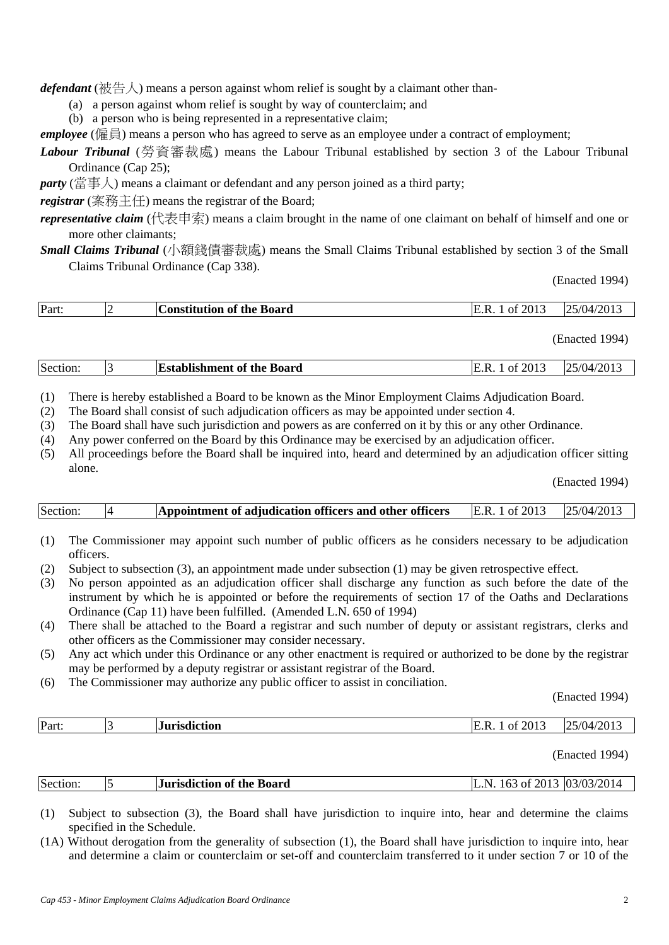*defendant* (被告人) means a person against whom relief is sought by a claimant other than-

- (a) a person against whom relief is sought by way of counterclaim; and
- (b) a person who is being represented in a representative claim;

*employee* (僱員) means a person who has agreed to serve as an employee under a contract of employment;

*Labour Tribunal* (勞資審裁處) means the Labour Tribunal established by section 3 of the Labour Tribunal Ordinance (Cap 25);

*party* (當事人) means a claimant or defendant and any person joined as a third party;

*registrar* (案務主任) means the registrar of the Board;

*representative claim* (代表申索) means a claim brought in the name of one claimant on behalf of himself and one or more other claimants;

*Small Claims Tribunal* (小額錢債審裁處) means the Small Claims Tribunal established by section 3 of the Small Claims Tribunal Ordinance (Cap 338).

(Enacted 1994)

| Part: | <b>vof the Board</b><br>Constitution | $\degree$ 2013<br>ь<br>ΩŤ | /2013<br>$\sqrt{04}$ |
|-------|--------------------------------------|---------------------------|----------------------|
|       |                                      |                           |                      |

(Enacted 1994)

(1) There is hereby established a Board to be known as the Minor Employment Claims Adjudication Board.

- (2) The Board shall consist of such adjudication officers as may be appointed under section 4.
- (3) The Board shall have such jurisdiction and powers as are conferred on it by this or any other Ordinance.
- (4) Any power conferred on the Board by this Ordinance may be exercised by an adjudication officer.
- (5) All proceedings before the Board shall be inquired into, heard and determined by an adjudication officer sitting alone.

(Enacted 1994)

|  | Section: |  | Appointment of adjudication officers and other officers | E.R. 1 of 2013 | 125/04/201 |
|--|----------|--|---------------------------------------------------------|----------------|------------|
|--|----------|--|---------------------------------------------------------|----------------|------------|

- (1) The Commissioner may appoint such number of public officers as he considers necessary to be adjudication officers.
- (2) Subject to subsection (3), an appointment made under subsection (1) may be given retrospective effect.
- (3) No person appointed as an adjudication officer shall discharge any function as such before the date of the instrument by which he is appointed or before the requirements of section 17 of the Oaths and Declarations Ordinance (Cap 11) have been fulfilled. (Amended L.N. 650 of 1994)
- (4) There shall be attached to the Board a registrar and such number of deputy or assistant registrars, clerks and other officers as the Commissioner may consider necessary.
- (5) Any act which under this Ordinance or any other enactment is required or authorized to be done by the registrar may be performed by a deputy registrar or assistant registrar of the Board.
- (6) The Commissioner may authorize any public officer to assist in conciliation.

(Enacted 1994)

| Part. | . | . .<br>Ω1<br>____ | . . |
|-------|---|-------------------|-----|
|       |   |                   |     |

(Enacted 1994)

| Section: | <b>Jurisdiction of the Board</b> | 163<br>N | of 2013 03/03/2014 |
|----------|----------------------------------|----------|--------------------|
|          |                                  |          |                    |

(1) Subject to subsection (3), the Board shall have jurisdiction to inquire into, hear and determine the claims specified in the Schedule.

(1A) Without derogation from the generality of subsection (1), the Board shall have jurisdiction to inquire into, hear and determine a claim or counterclaim or set-off and counterclaim transferred to it under section 7 or 10 of the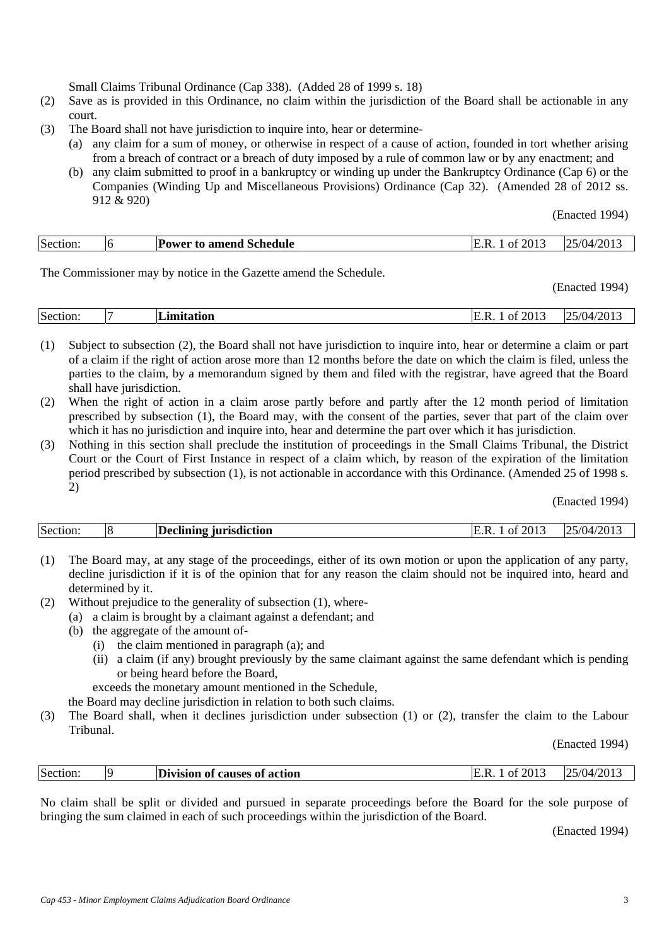Small Claims Tribunal Ordinance (Cap 338). (Added 28 of 1999 s. 18)

- (2) Save as is provided in this Ordinance, no claim within the jurisdiction of the Board shall be actionable in any court.
- (3) The Board shall not have jurisdiction to inquire into, hear or determine-
	- (a) any claim for a sum of money, or otherwise in respect of a cause of action, founded in tort whether arising from a breach of contract or a breach of duty imposed by a rule of common law or by any enactment; and
	- (b) any claim submitted to proof in a bankruptcy or winding up under the Bankruptcy Ordinance (Cap 6) or the Companies (Winding Up and Miscellaneous Provisions) Ordinance (Cap 32). (Amended 28 of 2012 ss. 912 & 920)

(Enacted 1994)

|  | Section: | Ib | Power to amend Schedule | 2013<br>- Ot<br>. .<br>ĸ | /2013<br>25/04<br>∠ |
|--|----------|----|-------------------------|--------------------------|---------------------|
|--|----------|----|-------------------------|--------------------------|---------------------|

The Commissioner may by notice in the Gazette amend the Schedule.

(Enacted 1994)

| Section: | imitation | 2013<br>0t<br>к | /2013<br>$\sim$<br>$\mathcal{L}$ .<br>(1)4/<br>، ب |
|----------|-----------|-----------------|----------------------------------------------------|
|          |           |                 |                                                    |

(1) Subject to subsection (2), the Board shall not have jurisdiction to inquire into, hear or determine a claim or part of a claim if the right of action arose more than 12 months before the date on which the claim is filed, unless the parties to the claim, by a memorandum signed by them and filed with the registrar, have agreed that the Board shall have jurisdiction.

- (2) When the right of action in a claim arose partly before and partly after the 12 month period of limitation prescribed by subsection (1), the Board may, with the consent of the parties, sever that part of the claim over which it has no jurisdiction and inquire into, hear and determine the part over which it has jurisdiction.
- (3) Nothing in this section shall preclude the institution of proceedings in the Small Claims Tribunal, the District Court or the Court of First Instance in respect of a claim which, by reason of the expiration of the limitation period prescribed by subsection (1), is not actionable in accordance with this Ordinance. (Amended 25 of 1998 s. 2)

(Enacted 1994)

| Section: |  | Declining jurisdiction | 201.<br>Ωt | '201.<br>1/(1)4 |
|----------|--|------------------------|------------|-----------------|
|----------|--|------------------------|------------|-----------------|

- (1) The Board may, at any stage of the proceedings, either of its own motion or upon the application of any party, decline jurisdiction if it is of the opinion that for any reason the claim should not be inquired into, heard and determined by it.
- (2) Without prejudice to the generality of subsection (1), where-
	- (a) a claim is brought by a claimant against a defendant; and
	- (b) the aggregate of the amount of-
		- (i) the claim mentioned in paragraph (a); and
		- (ii) a claim (if any) brought previously by the same claimant against the same defendant which is pending or being heard before the Board,

exceeds the monetary amount mentioned in the Schedule,

the Board may decline jurisdiction in relation to both such claims.

(3) The Board shall, when it declines jurisdiction under subsection (1) or (2), transfer the claim to the Labour Tribunal.

(Enacted 1994)

| Section:<br>$\sqrt{2}$ 1<br>IC<br>.<br><b>causes of action</b><br>Division<br>- ∩+⊤<br>ി<br>"''ZU<br>∠U⊥<br>. .<br>™U⊾<br>. د پ<br>. |
|--------------------------------------------------------------------------------------------------------------------------------------|
|--------------------------------------------------------------------------------------------------------------------------------------|

No claim shall be split or divided and pursued in separate proceedings before the Board for the sole purpose of bringing the sum claimed in each of such proceedings within the jurisdiction of the Board.

(Enacted 1994)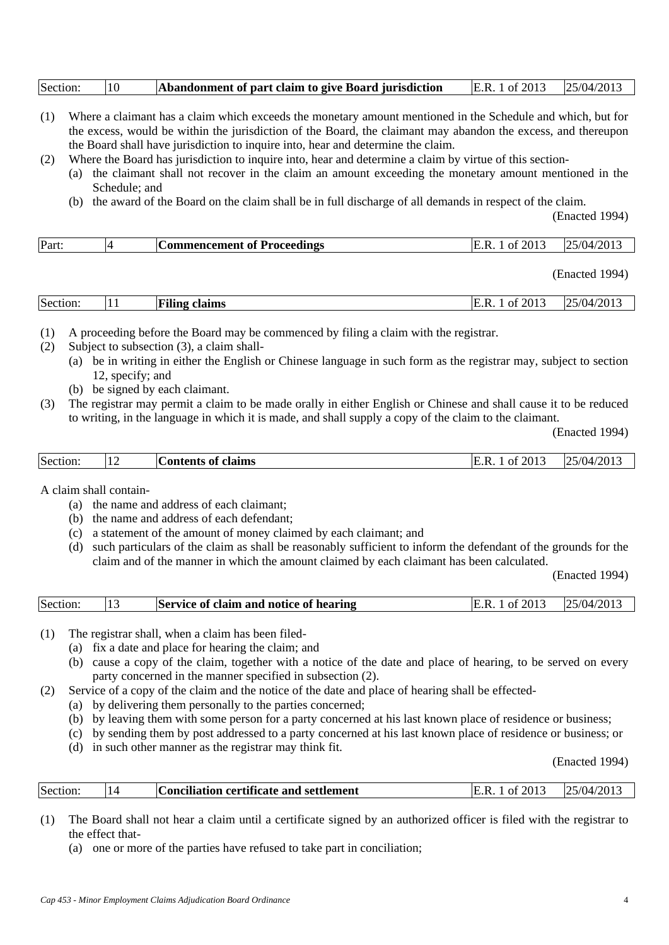| Section: | 10 | Abandonment of part claim to give Board jurisdiction | E.R. 1 of 2013 | 25/04/2013 |
|----------|----|------------------------------------------------------|----------------|------------|
|          |    |                                                      |                |            |

- (1) Where a claimant has a claim which exceeds the monetary amount mentioned in the Schedule and which, but for the excess, would be within the jurisdiction of the Board, the claimant may abandon the excess, and thereupon the Board shall have jurisdiction to inquire into, hear and determine the claim.
- (2) Where the Board has jurisdiction to inquire into, hear and determine a claim by virtue of this section-
	- (a) the claimant shall not recover in the claim an amount exceeding the monetary amount mentioned in the Schedule; and
	- (b) the award of the Board on the claim shall be in full discharge of all demands in respect of the claim.

(Enacted 1994)

| $T^{\prime}$<br>Section:<br>2013<br>$1/20$ <sup>+</sup><br>$\Delta$<br>$\sqrt{ }$<br>$^{\prime\prime}$<br>$\mathbf{A}$<br>Filing<br>claims<br>Ωt<br>IE.K<br>72<br>ZU 1.3<br>$\perp$ |
|-------------------------------------------------------------------------------------------------------------------------------------------------------------------------------------|
|-------------------------------------------------------------------------------------------------------------------------------------------------------------------------------------|

(1) A proceeding before the Board may be commenced by filing a claim with the registrar.

- (2) Subject to subsection (3), a claim shall-
	- (a) be in writing in either the English or Chinese language in such form as the registrar may, subject to section 12, specify; and
	- (b) be signed by each claimant.
- (3) The registrar may permit a claim to be made orally in either English or Chinese and shall cause it to be reduced to writing, in the language in which it is made, and shall supply a copy of the claim to the claimant.

(Enacted 1994)

| 74U<br>tents<br>лн<br>. <u>.</u> |  | Section: | .1 <sub>7</sub> | <u>—</u><br>claims<br>$\mathbf{m}$<br>$\ldots$ tant $\sim$<br>- OT | $  -$<br>ווזי<br>ь<br>Ωt | ി .<br>" قدن |
|----------------------------------|--|----------|-----------------|--------------------------------------------------------------------|--------------------------|--------------|
|----------------------------------|--|----------|-----------------|--------------------------------------------------------------------|--------------------------|--------------|

A claim shall contain-

- (a) the name and address of each claimant;
- (b) the name and address of each defendant;
- (c) a statement of the amount of money claimed by each claimant; and
- (d) such particulars of the claim as shall be reasonably sufficient to inform the defendant of the grounds for the claim and of the manner in which the amount claimed by each claimant has been calculated.

(Enacted 1994)

| Section: | $\vert$ 13 | Service of claim and notice of hearing | E.R. 1 of 2013 $ 25/04/2013 $ |  |
|----------|------------|----------------------------------------|-------------------------------|--|
|----------|------------|----------------------------------------|-------------------------------|--|

- (1) The registrar shall, when a claim has been filed-
	- (a) fix a date and place for hearing the claim; and
		- (b) cause a copy of the claim, together with a notice of the date and place of hearing, to be served on every party concerned in the manner specified in subsection (2).
- (2) Service of a copy of the claim and the notice of the date and place of hearing shall be effected-
	- (a) by delivering them personally to the parties concerned;
	- (b) by leaving them with some person for a party concerned at his last known place of residence or business;
	- (c) by sending them by post addressed to a party concerned at his last known place of residence or business; or
	- (d) in such other manner as the registrar may think fit.

(Enacted 1994)

|  | Section: |  | <b>Conciliation certificate and settlement</b> | 201.<br>R<br>- nt | $25/04/201$ , |
|--|----------|--|------------------------------------------------|-------------------|---------------|
|--|----------|--|------------------------------------------------|-------------------|---------------|

(1) The Board shall not hear a claim until a certificate signed by an authorized officer is filed with the registrar to the effect that-

(a) one or more of the parties have refused to take part in conciliation;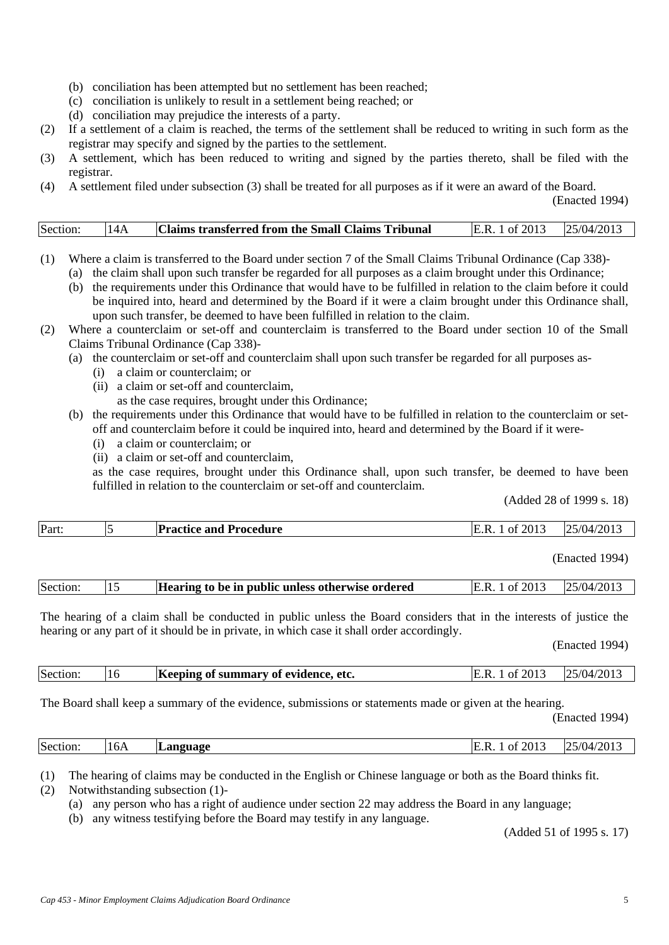- (b) conciliation has been attempted but no settlement has been reached;
- (c) conciliation is unlikely to result in a settlement being reached; or
- (d) conciliation may prejudice the interests of a party.
- (2) If a settlement of a claim is reached, the terms of the settlement shall be reduced to writing in such form as the registrar may specify and signed by the parties to the settlement.
- (3) A settlement, which has been reduced to writing and signed by the parties thereto, shall be filed with the registrar.
- (4) A settlement filed under subsection (3) shall be treated for all purposes as if it were an award of the Board.

| Section: | 14A | <b>Claims transferred from the Small Claims Tribunal</b> | E.R. 1 of 2013 $ 25/04/2013 $ |  |
|----------|-----|----------------------------------------------------------|-------------------------------|--|
|----------|-----|----------------------------------------------------------|-------------------------------|--|

- (1) Where a claim is transferred to the Board under section 7 of the Small Claims Tribunal Ordinance (Cap 338)-
	- (a) the claim shall upon such transfer be regarded for all purposes as a claim brought under this Ordinance;
	- (b) the requirements under this Ordinance that would have to be fulfilled in relation to the claim before it could be inquired into, heard and determined by the Board if it were a claim brought under this Ordinance shall, upon such transfer, be deemed to have been fulfilled in relation to the claim.
- (2) Where a counterclaim or set-off and counterclaim is transferred to the Board under section 10 of the Small Claims Tribunal Ordinance (Cap 338)-
	- (a) the counterclaim or set-off and counterclaim shall upon such transfer be regarded for all purposes as-
		- (i) a claim or counterclaim; or
		- (ii) a claim or set-off and counterclaim,
			- as the case requires, brought under this Ordinance;
	- (b) the requirements under this Ordinance that would have to be fulfilled in relation to the counterclaim or setoff and counterclaim before it could be inquired into, heard and determined by the Board if it were-
		- (i) a claim or counterclaim; or
		- (ii) a claim or set-off and counterclaim,

 as the case requires, brought under this Ordinance shall, upon such transfer, be deemed to have been fulfilled in relation to the counterclaim or set-off and counterclaim.

(Added 28 of 1999 s. 18)

| Part: | . . | <b>Practice and Procedure</b> | $\degree 2011$<br>К<br>O1 | -/2013<br>25/04/<br>$\mathcal{L}$ |
|-------|-----|-------------------------------|---------------------------|-----------------------------------|

(Enacted 1994)

|  | Section: |  | Hearing to be in public unless otherwise ordered | E.R. 1 of 2013 | 25/04/2013 |
|--|----------|--|--------------------------------------------------|----------------|------------|
|--|----------|--|--------------------------------------------------|----------------|------------|

The hearing of a claim shall be conducted in public unless the Board considers that in the interests of justice the hearing or any part of it should be in private, in which case it shall order accordingly.

(Enacted 1994)

| Section: | Keeping of summary of evidence, etc. | of 2013 | $25/04/201$ . |
|----------|--------------------------------------|---------|---------------|
|          |                                      |         |               |

The Board shall keep a summary of the evidence, submissions or statements made or given at the hearing.

(Enacted 1994)

| Section: | 16A | mguage | $\degree$ 201.<br>ΩŤ | /2013<br>$\overline{\phantom{a}}$<br>5/04 |
|----------|-----|--------|----------------------|-------------------------------------------|
|          |     |        |                      |                                           |

(1) The hearing of claims may be conducted in the English or Chinese language or both as the Board thinks fit. (2) Notwithstanding subsection (1)-

(a) any person who has a right of audience under section 22 may address the Board in any language;

(b) any witness testifying before the Board may testify in any language.

(Added 51 of 1995 s. 17)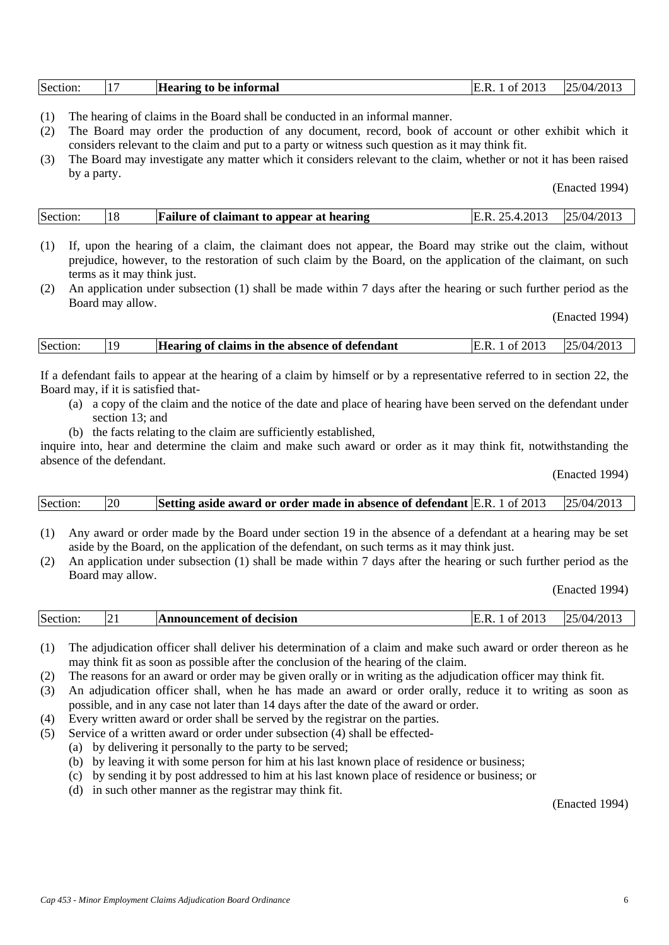| Section: |  | Hearing to be informal | f 2013<br>E.R.<br>0t | 25/04/2013 |
|----------|--|------------------------|----------------------|------------|
|----------|--|------------------------|----------------------|------------|

- (1) The hearing of claims in the Board shall be conducted in an informal manner.
- (2) The Board may order the production of any document, record, book of account or other exhibit which it considers relevant to the claim and put to a party or witness such question as it may think fit.
- (3) The Board may investigate any matter which it considers relevant to the claim, whether or not it has been raised by a party.

| Section: | $\overline{18}$ | <b>Failure of claimant to appear at hearing</b> | E.R. 25.4.2013 $ 25/04/2013 $ |  |
|----------|-----------------|-------------------------------------------------|-------------------------------|--|
|----------|-----------------|-------------------------------------------------|-------------------------------|--|

- (1) If, upon the hearing of a claim, the claimant does not appear, the Board may strike out the claim, without prejudice, however, to the restoration of such claim by the Board, on the application of the claimant, on such terms as it may think just.
- (2) An application under subsection (1) shall be made within 7 days after the hearing or such further period as the Board may allow.

(Enacted 1994)

| Section: | $ 19\rangle$ | Hearing of claims in the absence of defendant | E.R. 1 of 2013 $ 25/04/2013 $ |  |
|----------|--------------|-----------------------------------------------|-------------------------------|--|
|          |              |                                               |                               |  |

If a defendant fails to appear at the hearing of a claim by himself or by a representative referred to in section 22, the Board may, if it is satisfied that-

- (a) a copy of the claim and the notice of the date and place of hearing have been served on the defendant under section 13; and
- (b) the facts relating to the claim are sufficiently established,

inquire into, hear and determine the claim and make such award or order as it may think fit, notwithstanding the absence of the defendant.

(Enacted 1994)

| Section: | <b>20</b> | <b>Setting aside award or order made in absence of defendant E.R.</b> 1 of 2013 $\qquad$ 25/04/2013 |  |
|----------|-----------|-----------------------------------------------------------------------------------------------------|--|
|----------|-----------|-----------------------------------------------------------------------------------------------------|--|

- (1) Any award or order made by the Board under section 19 in the absence of a defendant at a hearing may be set aside by the Board, on the application of the defendant, on such terms as it may think just.
- (2) An application under subsection (1) shall be made within 7 days after the hearing or such further period as the Board may allow.

(Enacted 1994)

|  | Section: | . <u>. .</u> | nouncement of decision- | 201<br>H<br>ΩŤ | /2013<br>5/04 |
|--|----------|--------------|-------------------------|----------------|---------------|
|--|----------|--------------|-------------------------|----------------|---------------|

- (1) The adjudication officer shall deliver his determination of a claim and make such award or order thereon as he may think fit as soon as possible after the conclusion of the hearing of the claim.
- (2) The reasons for an award or order may be given orally or in writing as the adjudication officer may think fit.
- (3) An adjudication officer shall, when he has made an award or order orally, reduce it to writing as soon as possible, and in any case not later than 14 days after the date of the award or order.
- (4) Every written award or order shall be served by the registrar on the parties.
- (5) Service of a written award or order under subsection (4) shall be effected-
	- (a) by delivering it personally to the party to be served;
	- (b) by leaving it with some person for him at his last known place of residence or business;
	- (c) by sending it by post addressed to him at his last known place of residence or business; or
	- (d) in such other manner as the registrar may think fit.

(Enacted 1994)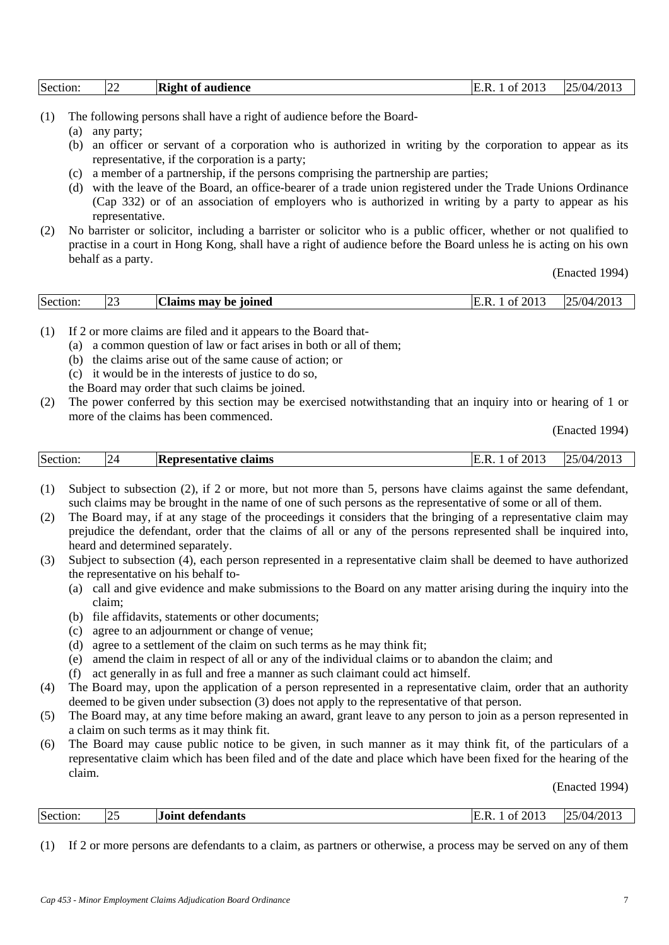| Section: | $\angle$ | <b>Right</b> of<br>audience | f 2013<br>F<br>. R<br>ОŤ | /2013<br>5/04<br>1 E |
|----------|----------|-----------------------------|--------------------------|----------------------|
|          |          |                             |                          |                      |

- (1) The following persons shall have a right of audience before the Board-
	- (a) any party;
	- (b) an officer or servant of a corporation who is authorized in writing by the corporation to appear as its representative, if the corporation is a party;
	- (c) a member of a partnership, if the persons comprising the partnership are parties;
	- (d) with the leave of the Board, an office-bearer of a trade union registered under the Trade Unions Ordinance (Cap 332) or of an association of employers who is authorized in writing by a party to appear as his representative.
- (2) No barrister or solicitor, including a barrister or solicitor who is a public officer, whether or not qualified to practise in a court in Hong Kong, shall have a right of audience before the Board unless he is acting on his own behalf as a party.

|--|

- (1) If 2 or more claims are filed and it appears to the Board that-
	- (a) a common question of law or fact arises in both or all of them;
	- (b) the claims arise out of the same cause of action; or
	- (c) it would be in the interests of justice to do so,
	- the Board may order that such claims be joined.
- (2) The power conferred by this section may be exercised notwithstanding that an inquiry into or hearing of 1 or more of the claims has been commenced.

(Enacted 1994)

| Section:<br>201.5<br>'201.<br>$^{\prime}$ (1) $\Delta$ ,<br>24<br><b>Representative claims</b><br>$\sim$ $+$<br>٠<br>$^{\prime}$<br>. |
|---------------------------------------------------------------------------------------------------------------------------------------|
|---------------------------------------------------------------------------------------------------------------------------------------|

- (1) Subject to subsection (2), if 2 or more, but not more than 5, persons have claims against the same defendant, such claims may be brought in the name of one of such persons as the representative of some or all of them.
- (2) The Board may, if at any stage of the proceedings it considers that the bringing of a representative claim may prejudice the defendant, order that the claims of all or any of the persons represented shall be inquired into, heard and determined separately.
- (3) Subject to subsection (4), each person represented in a representative claim shall be deemed to have authorized the representative on his behalf to-
	- (a) call and give evidence and make submissions to the Board on any matter arising during the inquiry into the claim;
	- (b) file affidavits, statements or other documents;
	- (c) agree to an adjournment or change of venue;
	- (d) agree to a settlement of the claim on such terms as he may think fit;
	- (e) amend the claim in respect of all or any of the individual claims or to abandon the claim; and
	- (f) act generally in as full and free a manner as such claimant could act himself.
- (4) The Board may, upon the application of a person represented in a representative claim, order that an authority deemed to be given under subsection (3) does not apply to the representative of that person.
- (5) The Board may, at any time before making an award, grant leave to any person to join as a person represented in a claim on such terms as it may think fit.
- (6) The Board may cause public notice to be given, in such manner as it may think fit, of the particulars of a representative claim which has been filed and of the date and place which have been fixed for the hearing of the claim.

(Enacted 1994)

| Section:<br>/2013<br>2013<br>defendants .<br>H<br>Ω1<br>ш<br>U<br>ت سے |
|------------------------------------------------------------------------|
|------------------------------------------------------------------------|

(1) If 2 or more persons are defendants to a claim, as partners or otherwise, a process may be served on any of them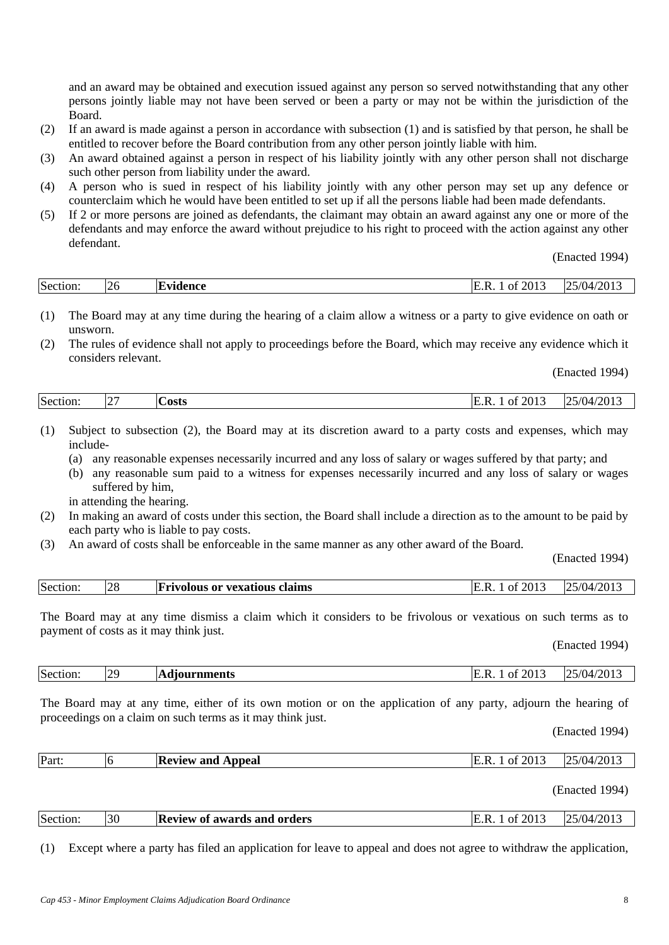and an award may be obtained and execution issued against any person so served notwithstanding that any other persons jointly liable may not have been served or been a party or may not be within the jurisdiction of the Board.

- (2) If an award is made against a person in accordance with subsection (1) and is satisfied by that person, he shall be entitled to recover before the Board contribution from any other person jointly liable with him.
- (3) An award obtained against a person in respect of his liability jointly with any other person shall not discharge such other person from liability under the award.
- (4) A person who is sued in respect of his liability jointly with any other person may set up any defence or counterclaim which he would have been entitled to set up if all the persons liable had been made defendants.
- (5) If 2 or more persons are joined as defendants, the claimant may obtain an award against any one or more of the defendants and may enforce the award without prejudice to his right to proceed with the action against any other defendant.

(Enacted 1994)

| Section: | <b>26</b> | IF.<br>lvidence | 2013<br>T.<br>ь<br>ОŤ | $1/201$ .<br>5/04 |
|----------|-----------|-----------------|-----------------------|-------------------|

- (1) The Board may at any time during the hearing of a claim allow a witness or a party to give evidence on oath or unsworn.
- (2) The rules of evidence shall not apply to proceedings before the Board, which may receive any evidence which it considers relevant.

(Enacted 1994)

| Section<br>$\degree$ 201.<br>∵osts<br>$\overline{\phantom{0}}$ |
|----------------------------------------------------------------|
|----------------------------------------------------------------|

- (1) Subject to subsection (2), the Board may at its discretion award to a party costs and expenses, which may include-
	- (a) any reasonable expenses necessarily incurred and any loss of salary or wages suffered by that party; and
	- (b) any reasonable sum paid to a witness for expenses necessarily incurred and any loss of salary or wages suffered by him,

in attending the hearing.

- (2) In making an award of costs under this section, the Board shall include a direction as to the amount to be paid by each party who is liable to pay costs.
- (3) An award of costs shall be enforceable in the same manner as any other award of the Board.

(Enacted 1994)

|  | Section. | $\cap$<br>$\angle$ | ; or vexatious claims<br>Frivolous | $20^{\circ}$<br>$\sim$<br>$^{\prime}$<br><b>′′′</b> | 201.<br>$^{\prime}$ () $\Delta$ , |
|--|----------|--------------------|------------------------------------|-----------------------------------------------------|-----------------------------------|
|--|----------|--------------------|------------------------------------|-----------------------------------------------------|-----------------------------------|

The Board may at any time dismiss a claim which it considers to be frivolous or vexatious on such terms as to payment of costs as it may think just.

(Enacted 1994)

| Section: | ס מ<br>$\overline{ }$ | <b>Adiournments</b> | 2013<br>-01<br>v<br>IE.K. | /2013<br>$^{\prime}/04$<br>ΩE<br>. |
|----------|-----------------------|---------------------|---------------------------|------------------------------------|
|          |                       |                     |                           |                                    |

The Board may at any time, either of its own motion or on the application of any party, adjourn the hearing of proceedings on a claim on such terms as it may think just.

(Enacted 1994)

| Part: | <b>Review and Appeal</b> | f 2013<br>Ωt<br>ь | 25/04/2013 |
|-------|--------------------------|-------------------|------------|
|       |                          |                   |            |

(Enacted 1994)

| Section: | 30 | <b>Review of awards and orders</b> | $\degree$ 201.<br>0Ť | 25/04/2013 |
|----------|----|------------------------------------|----------------------|------------|
|----------|----|------------------------------------|----------------------|------------|

(1) Except where a party has filed an application for leave to appeal and does not agree to withdraw the application,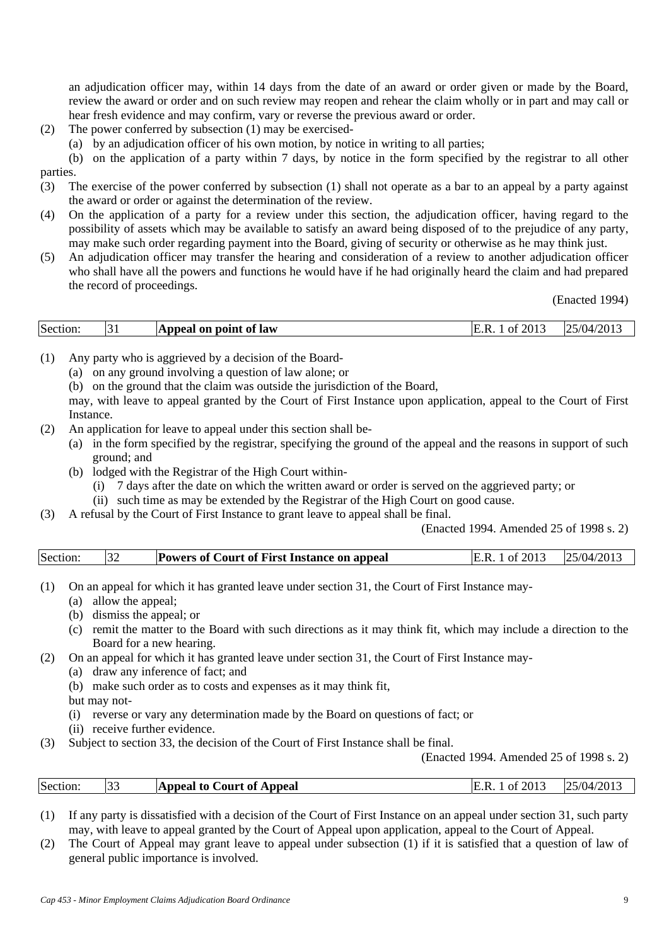an adjudication officer may, within 14 days from the date of an award or order given or made by the Board, review the award or order and on such review may reopen and rehear the claim wholly or in part and may call or hear fresh evidence and may confirm, vary or reverse the previous award or order.

- (2) The power conferred by subsection (1) may be exercised-
	- (a) by an adjudication officer of his own motion, by notice in writing to all parties;

(b) on the application of a party within 7 days, by notice in the form specified by the registrar to all other parties.

(3) The exercise of the power conferred by subsection (1) shall not operate as a bar to an appeal by a party against the award or order or against the determination of the review.

- (4) On the application of a party for a review under this section, the adjudication officer, having regard to the possibility of assets which may be available to satisfy an award being disposed of to the prejudice of any party, may make such order regarding payment into the Board, giving of security or otherwise as he may think just.
- (5) An adjudication officer may transfer the hearing and consideration of a review to another adjudication officer who shall have all the powers and functions he would have if he had originally heard the claim and had prepared the record of proceedings.

(Enacted 1994)

| Section: | l on point of law<br>Appeal | 2013<br>O<br> | /2013<br>$^{\prime}$ (04.<br>$\bigcap E$ .<br>.<br>. |
|----------|-----------------------------|---------------|------------------------------------------------------|

- (1) Any party who is aggrieved by a decision of the Board-
	- (a) on any ground involving a question of law alone; or
	- (b) on the ground that the claim was outside the jurisdiction of the Board,

 may, with leave to appeal granted by the Court of First Instance upon application, appeal to the Court of First Instance.

- (2) An application for leave to appeal under this section shall be-
	- (a) in the form specified by the registrar, specifying the ground of the appeal and the reasons in support of such ground; and
	- (b) lodged with the Registrar of the High Court within-
		- (i) 7 days after the date on which the written award or order is served on the aggrieved party; or
		- (ii) such time as may be extended by the Registrar of the High Court on good cause.
- (3) A refusal by the Court of First Instance to grant leave to appeal shall be final.

(Enacted 1994. Amended 25 of 1998 s. 2)

| Section<br><b>Powers of Court of First Instance on appeal</b> |  | /201<br>25/04/1 |
|---------------------------------------------------------------|--|-----------------|
|---------------------------------------------------------------|--|-----------------|

(1) On an appeal for which it has granted leave under section 31, the Court of First Instance may-

- (a) allow the appeal;
- (b) dismiss the appeal; or
- (c) remit the matter to the Board with such directions as it may think fit, which may include a direction to the Board for a new hearing.
- (2) On an appeal for which it has granted leave under section 31, the Court of First Instance may-
	- (a) draw any inference of fact; and
	- (b) make such order as to costs and expenses as it may think fit,
	- but may not-

(i) reverse or vary any determination made by the Board on questions of fact; or

- (ii) receive further evidence.
- (3) Subject to section 33, the decision of the Court of First Instance shall be final.

(Enacted 1994. Amended 25 of 1998 s. 2)

| Section: | $\sim$ | <b>Appeal to Court of Appeal</b> | 2013<br>ΩŤ<br>к. | $5/04/201$ .<br>าร |
|----------|--------|----------------------------------|------------------|--------------------|
|          |        |                                  |                  |                    |

(1) If any party is dissatisfied with a decision of the Court of First Instance on an appeal under section 31, such party may, with leave to appeal granted by the Court of Appeal upon application, appeal to the Court of Appeal.

(2) The Court of Appeal may grant leave to appeal under subsection (1) if it is satisfied that a question of law of general public importance is involved.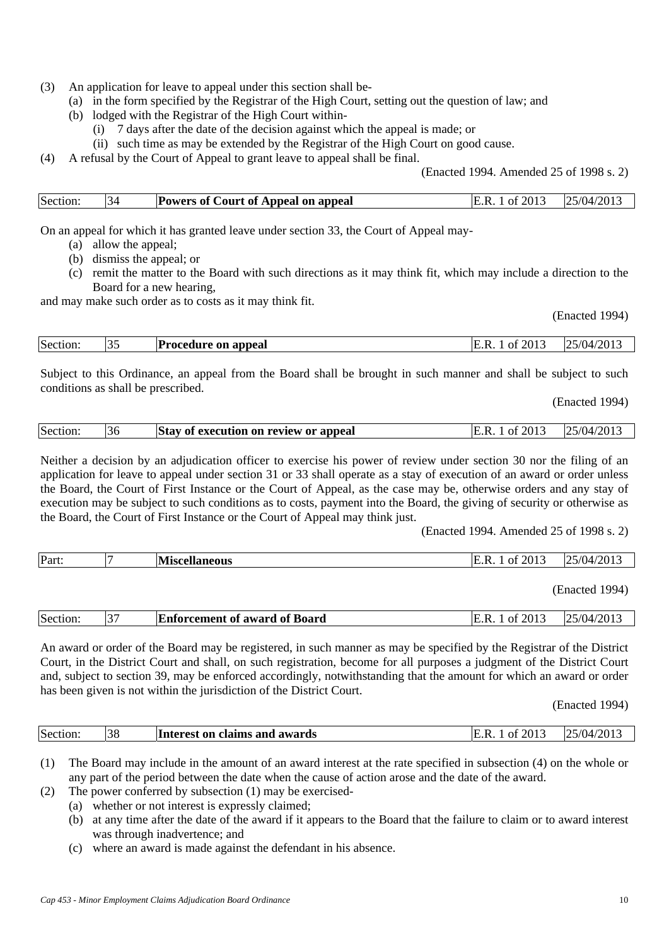- (3) An application for leave to appeal under this section shall be-
	- (a) in the form specified by the Registrar of the High Court, setting out the question of law; and
	- (b) lodged with the Registrar of the High Court within-
		- (i) 7 days after the date of the decision against which the appeal is made; or
		- (ii) such time as may be extended by the Registrar of the High Court on good cause.
- (4) A refusal by the Court of Appeal to grant leave to appeal shall be final.

(Enacted 1994. Amended 25 of 1998 s. 2)

| Section: | 34 | <b>Powers of Court of Appeal on appeal</b> | 201.<br>E.R.<br>0t | 25/04/2013 |
|----------|----|--------------------------------------------|--------------------|------------|

On an appeal for which it has granted leave under section 33, the Court of Appeal may-

- (a) allow the appeal;
- (b) dismiss the appeal; or
- (c) remit the matter to the Board with such directions as it may think fit, which may include a direction to the Board for a new hearing,

and may make such order as to costs as it may think fit.

(Enacted 1994)

| Section: | IJ. | <b>Procedure on appeal</b> | 2013<br>ΩŤ<br>IE.K. | $25/04/201$ . |
|----------|-----|----------------------------|---------------------|---------------|
|          |     |                            |                     |               |

Subject to this Ordinance, an appeal from the Board shall be brought in such manner and shall be subject to such conditions as shall be prescribed.

(Enacted 1994)

| Section: | 36 | <b>Stay of execution on review or appeal</b> | $\degree$ 2013<br>E.R.<br>01 | 25/04/2013 |
|----------|----|----------------------------------------------|------------------------------|------------|
|          |    |                                              |                              |            |

Neither a decision by an adjudication officer to exercise his power of review under section 30 nor the filing of an application for leave to appeal under section 31 or 33 shall operate as a stay of execution of an award or order unless the Board, the Court of First Instance or the Court of Appeal, as the case may be, otherwise orders and any stay of execution may be subject to such conditions as to costs, payment into the Board, the giving of security or otherwise as the Board, the Court of First Instance or the Court of Appeal may think just.

(Enacted 1994. Amended 25 of 1998 s. 2)

| Part: | $-$<br><b>NIC</b><br><b>Miscellaneous</b> | f 2013<br>O1 | /2013<br>$\sqrt{2}$<br>5/04/ |
|-------|-------------------------------------------|--------------|------------------------------|
|       |                                           |              |                              |

(Enacted 1994)

| Section: | $\sim$ | <b>Enforcement of award of Board</b> | f 2013<br>- IE<br>ОŤ | 125/04/2013 |
|----------|--------|--------------------------------------|----------------------|-------------|
|          |        |                                      |                      |             |

An award or order of the Board may be registered, in such manner as may be specified by the Registrar of the District Court, in the District Court and shall, on such registration, become for all purposes a judgment of the District Court and, subject to section 39, may be enforced accordingly, notwithstanding that the amount for which an award or order has been given is not within the jurisdiction of the District Court.

(Enacted 1994)

| Section: | 38 | Interest on claims and awards | 2013<br>ОŤ | /2013<br>1/04 |
|----------|----|-------------------------------|------------|---------------|
|          |    |                               |            |               |

(1) The Board may include in the amount of an award interest at the rate specified in subsection (4) on the whole or any part of the period between the date when the cause of action arose and the date of the award.

(2) The power conferred by subsection (1) may be exercised-

- (a) whether or not interest is expressly claimed;
- (b) at any time after the date of the award if it appears to the Board that the failure to claim or to award interest was through inadvertence; and
- (c) where an award is made against the defendant in his absence.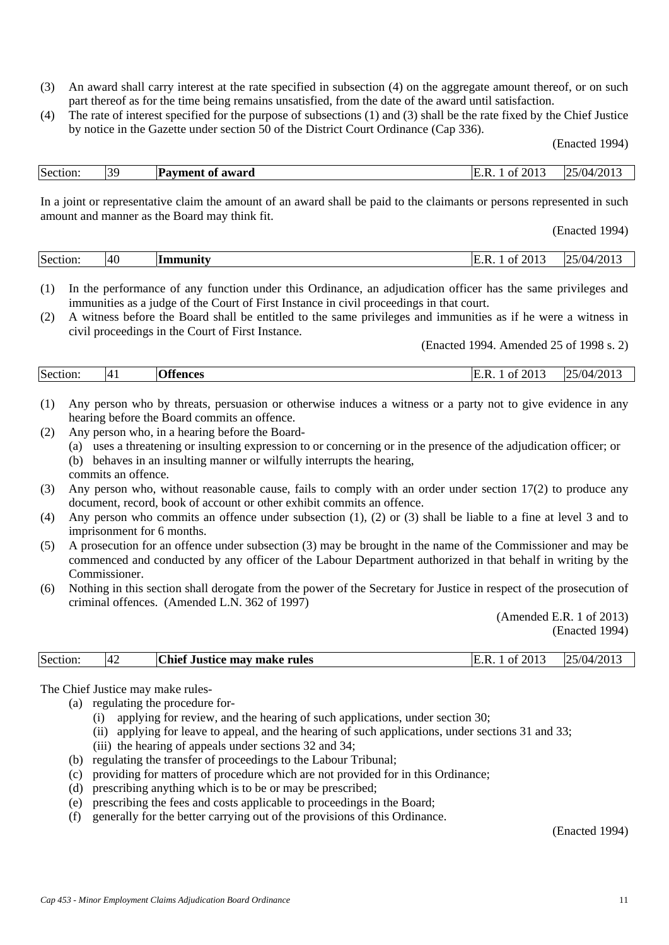- (3) An award shall carry interest at the rate specified in subsection (4) on the aggregate amount thereof, or on such part thereof as for the time being remains unsatisfied, from the date of the award until satisfaction.
- (4) The rate of interest specified for the purpose of subsections (1) and (3) shall be the rate fixed by the Chief Justice by notice in the Gazette under section 50 of the District Court Ordinance (Cap 336).

| Section: | 30 | <b>Payment of award</b> | f 2013<br>IE.R.<br>0Ť | 25/04/2013 |
|----------|----|-------------------------|-----------------------|------------|

In a joint or representative claim the amount of an award shall be paid to the claimants or persons represented in such amount and manner as the Board may think fit.

(Enacted 1994)

| Section. | 40 | $\sim$ unity<br> | 2013<br>Ω1 | /2013<br>$\sqrt{2}$<br>1 I 4 |
|----------|----|------------------|------------|------------------------------|
|          |    |                  |            |                              |

- (1) In the performance of any function under this Ordinance, an adjudication officer has the same privileges and immunities as a judge of the Court of First Instance in civil proceedings in that court.
- (2) A witness before the Board shall be entitled to the same privileges and immunities as if he were a witness in civil proceedings in the Court of First Instance.

(Enacted 1994. Amended 25 of 1998 s. 2)

| Section: | 14 <sub>1</sub> | σœ<br>tancac | $  -$<br>2013<br>Έ.<br>ΩŤ<br> | /04/2013<br>- 22 J |
|----------|-----------------|--------------|-------------------------------|--------------------|
|          |                 |              |                               |                    |

- (1) Any person who by threats, persuasion or otherwise induces a witness or a party not to give evidence in any hearing before the Board commits an offence.
- (2) Any person who, in a hearing before the Board-
	- (a) uses a threatening or insulting expression to or concerning or in the presence of the adjudication officer; or
	- (b) behaves in an insulting manner or wilfully interrupts the hearing,

commits an offence.

- (3) Any person who, without reasonable cause, fails to comply with an order under section 17(2) to produce any document, record, book of account or other exhibit commits an offence.
- (4) Any person who commits an offence under subsection (1), (2) or (3) shall be liable to a fine at level 3 and to imprisonment for 6 months.
- (5) A prosecution for an offence under subsection (3) may be brought in the name of the Commissioner and may be commenced and conducted by any officer of the Labour Department authorized in that behalf in writing by the **Commissioner**
- (6) Nothing in this section shall derogate from the power of the Secretary for Justice in respect of the prosecution of criminal offences. (Amended L.N. 362 of 1997)

(Amended E.R. 1 of 2013) (Enacted 1994)

| <b>Chief</b><br>Section:<br>$\left\langle 201 \right\rangle$<br><i>i</i> Justice mav make rules l<br>ΩŤ<br>142 |  |  | /2013<br>5/04 |
|----------------------------------------------------------------------------------------------------------------|--|--|---------------|
|----------------------------------------------------------------------------------------------------------------|--|--|---------------|

The Chief Justice may make rules-

(a) regulating the procedure for-

- (i) applying for review, and the hearing of such applications, under section 30;
- (ii) applying for leave to appeal, and the hearing of such applications, under sections 31 and 33;
- (iii) the hearing of appeals under sections 32 and 34;
- (b) regulating the transfer of proceedings to the Labour Tribunal;
- (c) providing for matters of procedure which are not provided for in this Ordinance;
- (d) prescribing anything which is to be or may be prescribed;
- (e) prescribing the fees and costs applicable to proceedings in the Board;
- (f) generally for the better carrying out of the provisions of this Ordinance.

(Enacted 1994)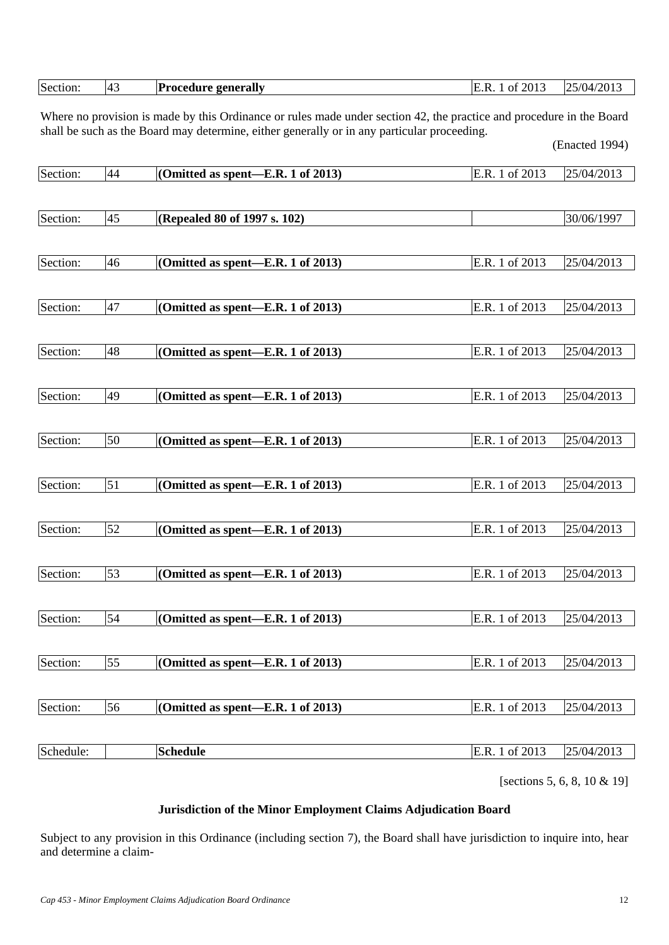| 1001<br>21ء<br>$\overline{\phantom{a}}$<br>. 14 |  | Section: | ᠇᠊ | generally<br>rocedure s<br>ли | $201$ .<br>Ωt<br>R |  |
|-------------------------------------------------|--|----------|----|-------------------------------|--------------------|--|
|-------------------------------------------------|--|----------|----|-------------------------------|--------------------|--|

Where no provision is made by this Ordinance or rules made under section 42, the practice and procedure in the Board shall be such as the Board may determine, either generally or in any particular proceeding. (Enacted 1994)

| Section:  | 44              | (Omitted as spent-E.R. 1 of 2013) | E.R. 1 of 2013 | 25/04/2013 |
|-----------|-----------------|-----------------------------------|----------------|------------|
|           |                 |                                   |                |            |
| Section:  | 45              | (Repealed 80 of 1997 s. 102)      |                | 30/06/1997 |
|           |                 |                                   |                |            |
| Section:  | 46              | (Omitted as spent-E.R. 1 of 2013) | E.R. 1 of 2013 | 25/04/2013 |
|           |                 |                                   |                |            |
| Section:  | 47              | (Omitted as spent-E.R. 1 of 2013) | E.R. 1 of 2013 | 25/04/2013 |
|           |                 |                                   |                |            |
| Section:  | 48              | (Omitted as spent-E.R. 1 of 2013) | E.R. 1 of 2013 | 25/04/2013 |
|           |                 |                                   |                |            |
| Section:  | 49              | (Omitted as spent-E.R. 1 of 2013) | E.R. 1 of 2013 | 25/04/2013 |
|           |                 |                                   |                |            |
| Section:  | 50              | (Omitted as spent—E.R. 1 of 2013) | E.R. 1 of 2013 | 25/04/2013 |
|           |                 |                                   |                |            |
| Section:  | $\overline{51}$ | (Omitted as spent-E.R. 1 of 2013) | E.R. 1 of 2013 | 25/04/2013 |
|           |                 |                                   |                |            |
| Section:  | 52              | (Omitted as spent-E.R. 1 of 2013) | E.R. 1 of 2013 | 25/04/2013 |
|           |                 |                                   |                |            |
| Section:  | 53              | (Omitted as spent-E.R. 1 of 2013) | E.R. 1 of 2013 | 25/04/2013 |
|           |                 |                                   |                |            |
| Section:  | 54              | (Omitted as spent-E.R. 1 of 2013) | E.R. 1 of 2013 | 25/04/2013 |
|           |                 |                                   |                |            |
| Section:  | $\overline{55}$ | (Omitted as spent—E.R. 1 of 2013) | E.R. 1 of 2013 | 25/04/2013 |
|           |                 |                                   |                |            |
| Section:  | 56              | (Omitted as spent—E.R. 1 of 2013) | E.R. 1 of 2013 | 25/04/2013 |
|           |                 |                                   |                |            |
| Schedule: |                 | <b>Schedule</b>                   | E.R. 1 of 2013 | 25/04/2013 |
|           |                 |                                   |                |            |

[sections 5, 6, 8, 10 & 19]

## **Jurisdiction of the Minor Employment Claims Adjudication Board**

Subject to any provision in this Ordinance (including section 7), the Board shall have jurisdiction to inquire into, hear and determine a claim-